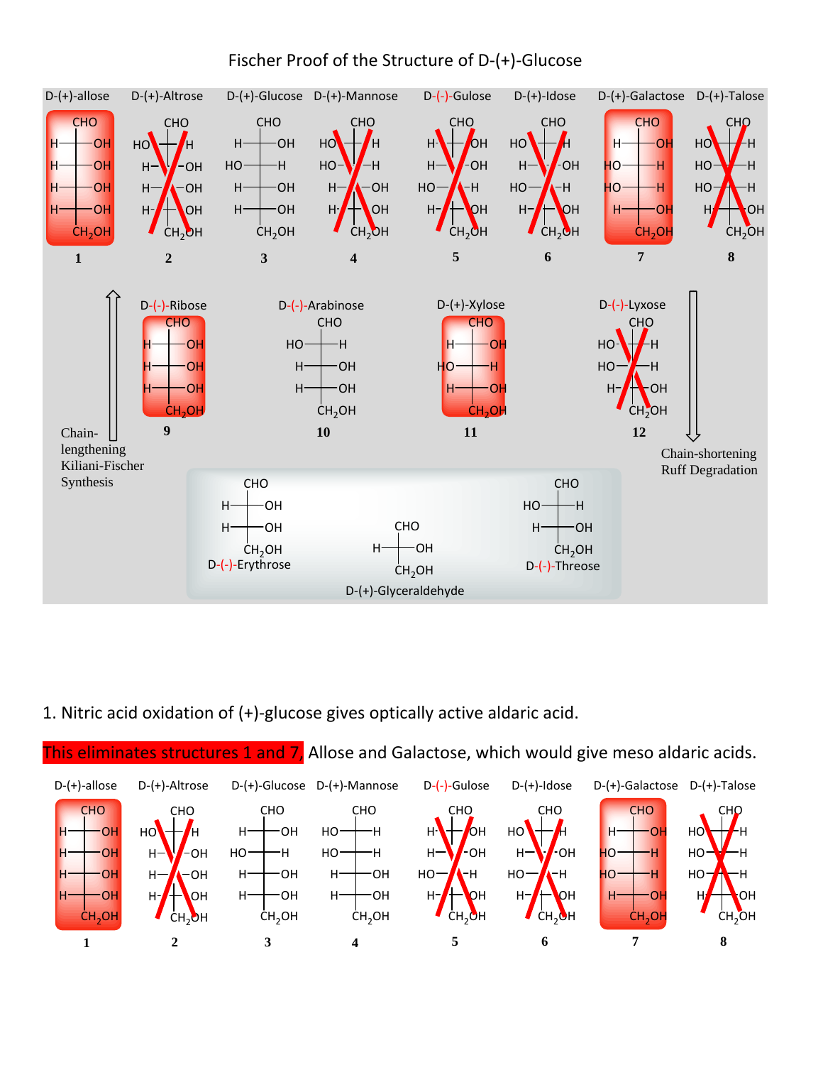

## Fischer Proof of the Structure of D‐(+)‐Glucose

1. Nitric acid oxidation of (+)‐glucose gives optically active aldaric acid.